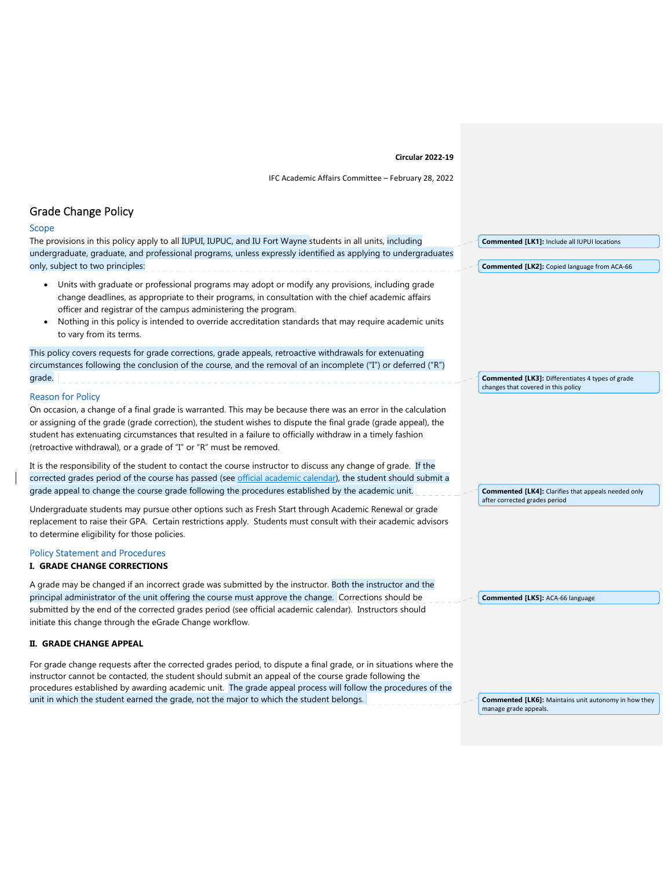# **Circular 2022‐19**

IFC Academic Affairs Committee – February 28, 2022

# Grade Change Policy

 $\overline{\phantom{a}}$ 

| Scope                                                                                                                                                                                                                                                                                                                                                                                                                                    |                                                             |
|------------------------------------------------------------------------------------------------------------------------------------------------------------------------------------------------------------------------------------------------------------------------------------------------------------------------------------------------------------------------------------------------------------------------------------------|-------------------------------------------------------------|
| The provisions in this policy apply to all IUPUI, IUPUC, and IU Fort Wayne students in all units, including                                                                                                                                                                                                                                                                                                                              | <b>Commented [LK1]: Include all IUPUI locations</b>         |
| undergraduate, graduate, and professional programs, unless expressly identified as applying to undergraduates                                                                                                                                                                                                                                                                                                                            |                                                             |
| only, subject to two principles:                                                                                                                                                                                                                                                                                                                                                                                                         | <b>Commented [LK2]:</b> Copied language from ACA-66         |
| Units with graduate or professional programs may adopt or modify any provisions, including grade<br>$\bullet$<br>change deadlines, as appropriate to their programs, in consultation with the chief academic affairs<br>officer and registrar of the campus administering the program.<br>Nothing in this policy is intended to override accreditation standards that may require academic units<br>$\bullet$<br>to vary from its terms. |                                                             |
| This policy covers requests for grade corrections, grade appeals, retroactive withdrawals for extenuating<br>circumstances following the conclusion of the course, and the removal of an incomplete ("I") or deferred ("R")                                                                                                                                                                                                              |                                                             |
| grade.                                                                                                                                                                                                                                                                                                                                                                                                                                   | <b>Commented [LK3]: Differentiates 4 types of grade</b>     |
| <b>Reason for Policy</b>                                                                                                                                                                                                                                                                                                                                                                                                                 | changes that covered in this policy                         |
| On occasion, a change of a final grade is warranted. This may be because there was an error in the calculation<br>or assigning of the grade (grade correction), the student wishes to dispute the final grade (grade appeal), the<br>student has extenuating circumstances that resulted in a failure to officially withdraw in a timely fashion<br>(retroactive withdrawal), or a grade of "I" or "R" must be removed.                  |                                                             |
| It is the responsibility of the student to contact the course instructor to discuss any change of grade. If the<br>corrected grades period of the course has passed (see official academic calendar), the student should submit a<br>grade appeal to change the course grade following the procedures established by the academic unit.                                                                                                  | <b>Commented [LK4]:</b> Clarifies that appeals needed only  |
| Undergraduate students may pursue other options such as Fresh Start through Academic Renewal or grade<br>replacement to raise their GPA. Certain restrictions apply. Students must consult with their academic advisors                                                                                                                                                                                                                  | after corrected grades period                               |
| to determine eligibility for those policies.                                                                                                                                                                                                                                                                                                                                                                                             |                                                             |
| <b>Policy Statement and Procedures</b><br>I. GRADE CHANGE CORRECTIONS                                                                                                                                                                                                                                                                                                                                                                    |                                                             |
| A grade may be changed if an incorrect grade was submitted by the instructor. Both the instructor and the                                                                                                                                                                                                                                                                                                                                |                                                             |
| principal administrator of the unit offering the course must approve the change. Corrections should be<br>submitted by the end of the corrected grades period (see official academic calendar). Instructors should<br>initiate this change through the eGrade Change workflow.                                                                                                                                                           | <b>Commented [LK5]: ACA-66 language</b>                     |
| II. GRADE CHANGE APPEAL                                                                                                                                                                                                                                                                                                                                                                                                                  |                                                             |
| For grade change requests after the corrected grades period, to dispute a final grade, or in situations where the<br>instructor cannot be contacted, the student should submit an appeal of the course grade following the<br>procedures established by awarding academic unit. The grade appeal process will follow the procedures of the<br>unit in which the student earned the grade, not the major to which the student belongs.    | <b>Commented [LK6]:</b> Maintains unit autonomy in how they |
|                                                                                                                                                                                                                                                                                                                                                                                                                                          | manage grade appeals.                                       |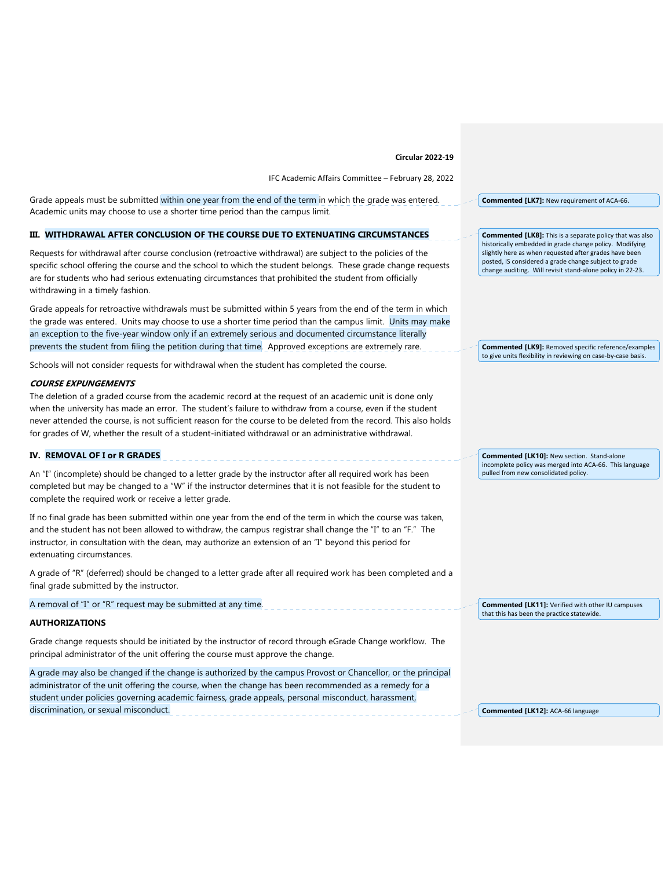#### **Circular 2022‐19**

IFC Academic Affairs Committee – February 28, 2022

Grade appeals must be submitted within one year from the end of the term in which the grade was entered. Academic units may choose to use a shorter time period than the campus limit.

## **III. WITHDRAWAL AFTER CONCLUSION OF THE COURSE DUE TO EXTENUATING CIRCUMSTANCES**

Requests for withdrawal after course conclusion (retroactive withdrawal) are subject to the policies of the specific school offering the course and the school to which the student belongs. These grade change requests are for students who had serious extenuating circumstances that prohibited the student from officially withdrawing in a timely fashion.

Grade appeals for retroactive withdrawals must be submitted within 5 years from the end of the term in which the grade was entered. Units may choose to use a shorter time period than the campus limit. Units may make an exception to the five-year window only if an extremely serious and documented circumstance literally prevents the student from filing the petition during that time. Approved exceptions are extremely rare.

Schools will not consider requests for withdrawal when the student has completed the course.

### **COURSE EXPUNGEMENTS**

The deletion of a graded course from the academic record at the request of an academic unit is done only when the university has made an error. The student's failure to withdraw from a course, even if the student never attended the course, is not sufficient reason for the course to be deleted from the record. This also holds for grades of W, whether the result of a student-initiated withdrawal or an administrative withdrawal.

#### **IV. REMOVAL OF I or R GRADES**

An "I" (incomplete) should be changed to a letter grade by the instructor after all required work has been completed but may be changed to a "W" if the instructor determines that it is not feasible for the student to complete the required work or receive a letter grade.

If no final grade has been submitted within one year from the end of the term in which the course was taken, and the student has not been allowed to withdraw, the campus registrar shall change the "I" to an "F." The instructor, in consultation with the dean, may authorize an extension of an "I" beyond this period for extenuating circumstances.

A grade of "R" (deferred) should be changed to a letter grade after all required work has been completed and a final grade submitted by the instructor.

A removal of "I" or "R" request may be submitted at any time.

## **AUTHORIZATIONS**

Grade change requests should be initiated by the instructor of record through eGrade Change workflow. The principal administrator of the unit offering the course must approve the change.

A grade may also be changed if the change is authorized by the campus Provost or Chancellor, or the principal administrator of the unit offering the course, when the change has been recommended as a remedy for a student under policies governing academic fairness, grade appeals, personal misconduct, harassment, discrimination, or sexual misconduct.

**Commented [LK7]:** New requirement of ACA‐66.

**Commented [LK8]:** This is a separate policy that was also historically embedded in grade change policy. Modifying slightly here as when requested after grades have been posted, IS considered a grade change subject to grade change auditing. Will revisit stand‐alone policy in 22‐23.

**Commented [LK9]:** Removed specific reference/examples to give units flexibility in reviewing on case-by-case basis.

**Commented [LK10]:** New section. Stand‐alone incomplete policy was merged into ACA‐66. This language pulled from new consolidated policy.

**Commented [LK11]:** Verified with other IU campuses that this has been the practice statewide.

**Commented [LK12]:** ACA‐66 language